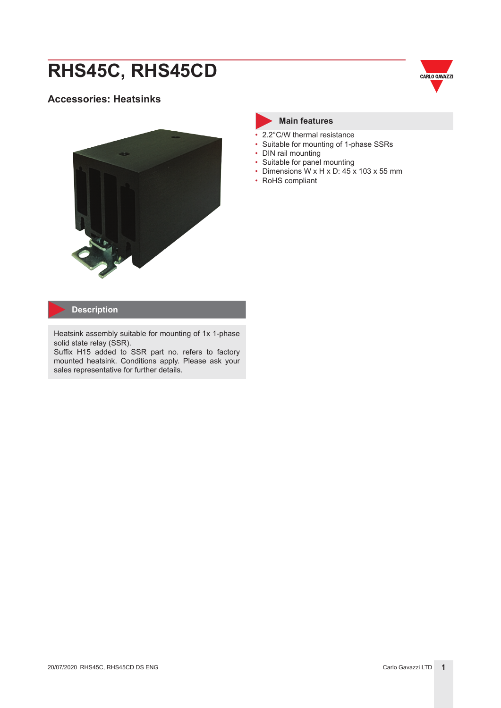# **RHS45C, RHS45CD**

#### **Accessories: Heatsinks**





#### **Main features**

- 2.2°C/W thermal resistance
- Suitable for mounting of 1-phase SSRs
- DIN rail mounting
- Suitable for panel mounting
- Dimensions W x H x D:  $45 \times 103 \times 55$  mm
- RoHS compliant

#### **Description**

Heatsink assembly suitable for mounting of 1x 1-phase solid state relay (SSR).

Suffix H15 added to SSR part no. refers to factory mounted heatsink. Conditions apply. Please ask your sales representative for further details.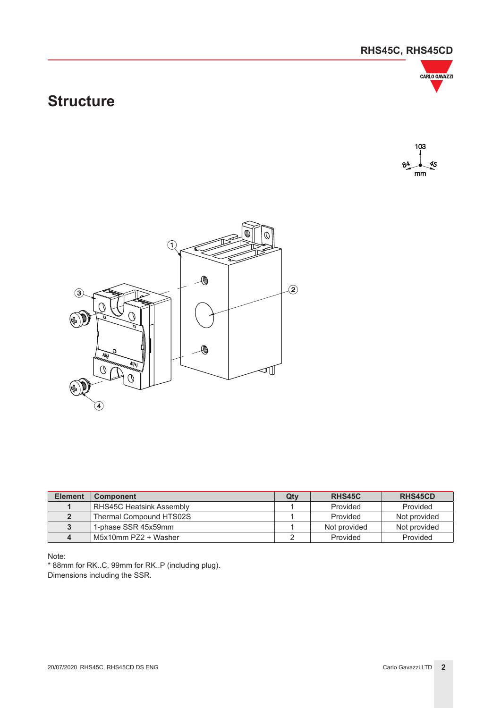### **RHS45C, RHS45CD**



## **Structure**





| <b>Element</b> | <b>Component</b>         | Qtv | <b>RHS45C</b> | <b>RHS45CD</b> |
|----------------|--------------------------|-----|---------------|----------------|
|                | RHS45C Heatsink Assembly |     | Provided      | Provided       |
|                | Thermal Compound HTS02S  |     | Provided      | Not provided   |
|                | 1-phase SSR 45x59mm      |     | Not provided  | Not provided   |
|                | M5x10mm PZ2 + Washer     |     | Provided      | Provided       |

Note:

\* 88mm for RK..C, 99mm for RK..P (including plug). Dimensions including the SSR.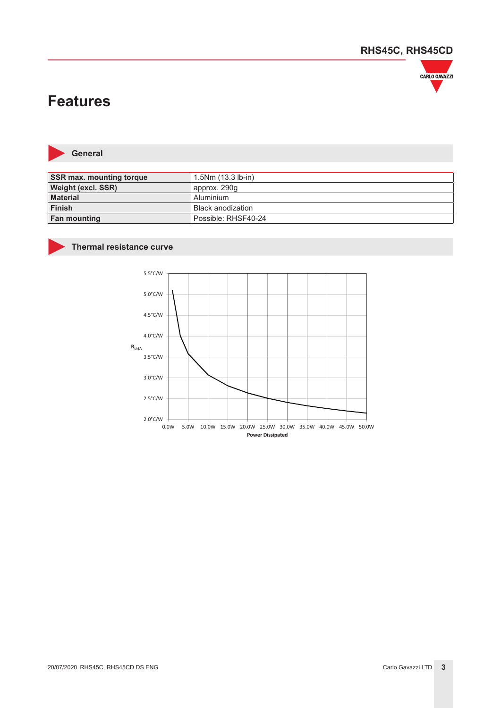

## **Features**



**General**

| <b>SSR max. mounting torque</b> | $1.5Nm(13.3 lb-in)$ |
|---------------------------------|---------------------|
| Weight (excl. SSR)              | approx. 290g        |
| <b>Material</b>                 | l Aluminium         |
| <b>Finish</b>                   | Black anodization   |
| <b>Fan mounting</b>             | Possible: RHSF40-24 |

#### **Thermal resistance curve**

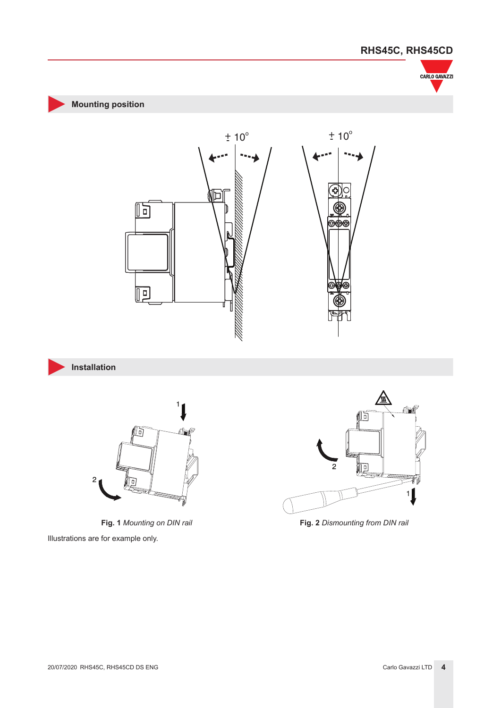







**Mounting position**

**Fig. 1** *Mounting on DIN rail* **Fig. 2** *Dismounting from DIN rail* Illustrations are for example only.

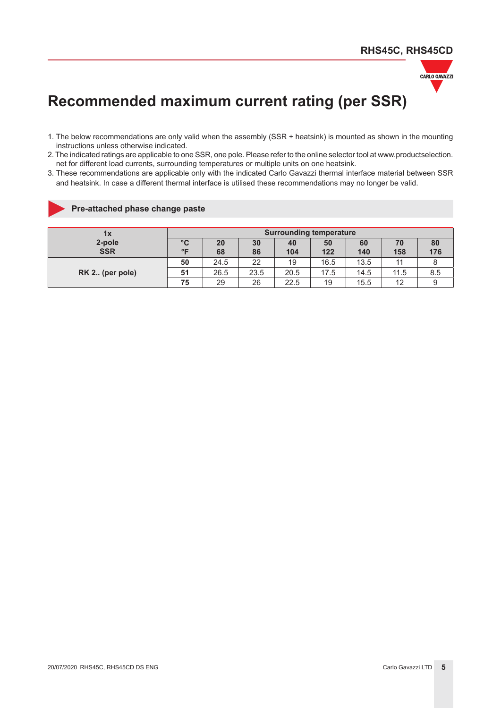

## **Recommended maximum current rating (per SSR)**

- 1. The below recommendations are only valid when the assembly (SSR + heatsink) is mounted as shown in the mounting instructions unless otherwise indicated.
- 2. The indicated ratings are applicable to one SSR, one pole. Please refer to the online selector tool at www.productselection. net for different load currents, surrounding temperatures or multiple units on one heatsink.
- 3. These recommendations are applicable only with the indicated Carlo Gavazzi thermal interface material between SSR and heatsink. In case a different thermal interface is utilised these recommendations may no longer be valid.

#### **Pre-attached phase change paste**

| 1x              | <b>Surrounding temperature</b> |           |      |      |      |      |      |     |
|-----------------|--------------------------------|-----------|------|------|------|------|------|-----|
| 2-pole          | $^{\circ}$ C                   | <b>20</b> | 30   | 40   | 50   | 60   | 70   | 80  |
| <b>SSR</b>      | $^{\circ}$ E                   | 68        | 86   | 104  | 122  | 140  | 158  | 176 |
|                 | 50                             | 24.5      | 22   | 19   | 16.5 | 13.5 | 11   |     |
| RK 2 (per pole) | 51                             | 26.5      | 23.5 | 20.5 | 17.5 | 14.5 | 11.5 | 8.5 |
|                 | 75                             | 29        | 26   | 22.5 | 19   | 15.5 | 12   |     |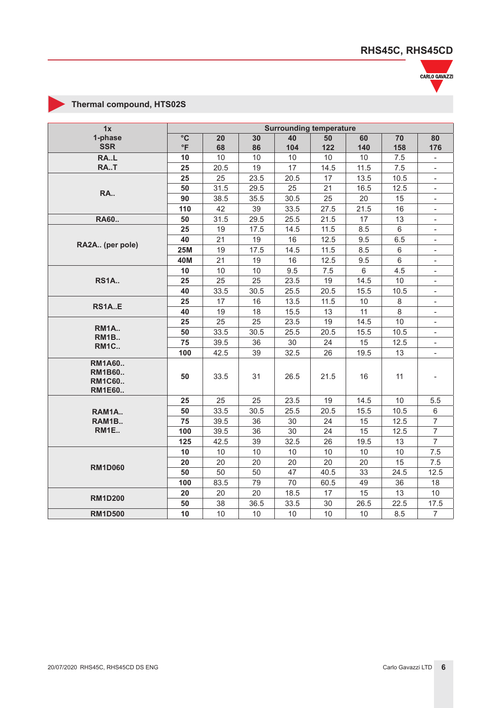

### **Thermal compound, HTS02S**

| 1x                                                               | <b>Surrounding temperature</b> |      |      |      |      |                |                |                          |
|------------------------------------------------------------------|--------------------------------|------|------|------|------|----------------|----------------|--------------------------|
| 1-phase                                                          | $\circ$ C                      | 20   | 30   | 40   | 50   | 60             | 70             | 80                       |
| <b>SSR</b>                                                       | $\circ$ F                      | 68   | 86   | 104  | 122  | 140            | 158            | 176                      |
| RA.L                                                             | 10                             | 10   | 10   | 10   | 10   | 10             | 7.5            |                          |
| RA.T                                                             | 25                             | 20.5 | 19   | 17   | 14.5 | 11.5           | 7.5            |                          |
|                                                                  | 25                             | 25   | 23.5 | 20.5 | 17   | 13.5           | 10.5           | $\overline{\phantom{a}}$ |
| RA                                                               | 50                             | 31.5 | 29.5 | 25   | 21   | 16.5           | 12.5           | $\overline{\phantom{a}}$ |
|                                                                  | 90                             | 38.5 | 35.5 | 30.5 | 25   | 20             | 15             | $\overline{\phantom{a}}$ |
|                                                                  | 110                            | 42   | 39   | 33.5 | 27.5 | 21.5           | 16             | $\overline{\phantom{a}}$ |
| RA60                                                             | 50                             | 31.5 | 29.5 | 25.5 | 21.5 | 17             | 13             | $\overline{\phantom{a}}$ |
|                                                                  | 25                             | 19   | 17.5 | 14.5 | 11.5 | 8.5            | 6              | $\overline{\phantom{a}}$ |
| RA2A (per pole)                                                  | 40                             | 21   | 19   | 16   | 12.5 | 9.5            | 6.5            | $\overline{\phantom{a}}$ |
|                                                                  | <b>25M</b>                     | 19   | 17.5 | 14.5 | 11.5 | 8.5            | 6              | $\overline{\phantom{0}}$ |
|                                                                  | 40M                            | 21   | 19   | 16   | 12.5 | 9.5            | $6\phantom{1}$ | $\overline{\phantom{a}}$ |
|                                                                  | 10                             | 10   | 10   | 9.5  | 7.5  | $6\phantom{1}$ | 4.5            | $\overline{\phantom{a}}$ |
| <b>RS1A</b>                                                      | 25                             | 25   | 25   | 23.5 | 19   | 14.5           | 10             | $\overline{\phantom{a}}$ |
|                                                                  | 40                             | 33.5 | 30.5 | 25.5 | 20.5 | 15.5           | 10.5           |                          |
| <b>RS1AE</b>                                                     | 25                             | 17   | 16   | 13.5 | 11.5 | 10             | 8              | $\overline{\phantom{a}}$ |
|                                                                  | 40                             | 19   | 18   | 15.5 | 13   | 11             | 8              |                          |
|                                                                  | 25                             | 25   | 25   | 23.5 | 19   | 14.5           | 10             | $\overline{\phantom{0}}$ |
| <b>RM1A</b><br>RM <sub>1B.</sub>                                 | 50                             | 33.5 | 30.5 | 25.5 | 20.5 | 15.5           | 10.5           | $\blacksquare$           |
| <b>RM1C</b>                                                      | 75                             | 39.5 | 36   | 30   | 24   | 15             | 12.5           | $\overline{\phantom{a}}$ |
|                                                                  | 100                            | 42.5 | 39   | 32.5 | 26   | 19.5           | 13             | $\overline{\phantom{a}}$ |
| <b>RM1A60</b><br><b>RM1B60</b><br><b>RM1C60</b><br><b>RM1E60</b> | 50                             | 33.5 | 31   | 26.5 | 21.5 | 16             | 11             |                          |
|                                                                  | 25                             | 25   | 25   | 23.5 | 19   | 14.5           | 10             | 5.5                      |
| RAM1A                                                            | 50                             | 33.5 | 30.5 | 25.5 | 20.5 | 15.5           | 10.5           | 6                        |
| RAM1B                                                            | 75                             | 39.5 | 36   | 30   | 24   | 15             | 12.5           | $\overline{7}$           |
| RM1E                                                             | 100                            | 39.5 | 36   | 30   | 24   | 15             | 12.5           | $\overline{7}$           |
|                                                                  | 125                            | 42.5 | 39   | 32.5 | 26   | 19.5           | 13             | $\overline{7}$           |
|                                                                  | 10                             | 10   | 10   | 10   | 10   | 10             | 10             | 7.5                      |
| <b>RM1D060</b>                                                   | 20                             | 20   | 20   | 20   | 20   | 20             | 15             | 7.5                      |
|                                                                  | 50                             | 50   | 50   | 47   | 40.5 | 33             | 24.5           | 12.5                     |
|                                                                  | 100                            | 83.5 | 79   | 70   | 60.5 | 49             | 36             | 18                       |
| <b>RM1D200</b>                                                   | 20                             | 20   | 20   | 18.5 | 17   | 15             | 13             | 10                       |
|                                                                  | 50                             | 38   | 36.5 | 33.5 | 30   | 26.5           | 22.5           | 17.5                     |
| <b>RM1D500</b>                                                   | 10                             | 10   | 10   | 10   | 10   | 10             | 8.5            | $\overline{7}$           |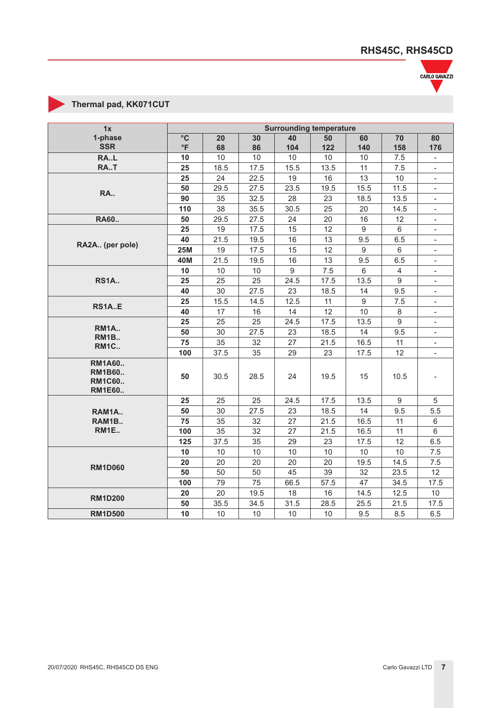

### **Thermal pad, KK071CUT**

| 1x                                                               | <b>Surrounding temperature</b> |      |      |      |      |       |                |                          |
|------------------------------------------------------------------|--------------------------------|------|------|------|------|-------|----------------|--------------------------|
| 1-phase                                                          | $\circ$ C                      | 20   | 30   | 40   | 50   | 60    | 70             | 80                       |
| <b>SSR</b>                                                       | $\circ$ F                      | 68   | 86   | 104  | 122  | 140   | 158            | 176                      |
| RA.L                                                             | 10                             | 10   | 10   | 10   | 10   | 10    | 7.5            |                          |
| RA.T                                                             | 25                             | 18.5 | 17.5 | 15.5 | 13.5 | 11    | 7.5            | $\blacksquare$           |
|                                                                  | 25                             | 24   | 22.5 | 19   | 16   | 13    | 10             | $\overline{\phantom{a}}$ |
| <b>RA</b>                                                        | 50                             | 29.5 | 27.5 | 23.5 | 19.5 | 15.5  | 11.5           | $\overline{\phantom{a}}$ |
|                                                                  | 90                             | 35   | 32.5 | 28   | 23   | 18.5  | 13.5           | $\overline{\phantom{a}}$ |
|                                                                  | 110                            | 38   | 35.5 | 30.5 | 25   | 20    | 14.5           | $\overline{\phantom{a}}$ |
| RA60                                                             | 50                             | 29.5 | 27.5 | 24   | 20   | 16    | 12             | $\overline{\phantom{a}}$ |
|                                                                  | 25                             | 19   | 17.5 | 15   | 12   | $9\,$ | 6              | $\overline{\phantom{a}}$ |
| RA2A (per pole)                                                  | 40                             | 21.5 | 19.5 | 16   | 13   | 9.5   | 6.5            | $\overline{\phantom{a}}$ |
|                                                                  | <b>25M</b>                     | 19   | 17.5 | 15   | 12   | 9     | 6              | $\overline{\phantom{a}}$ |
|                                                                  | 40M                            | 21.5 | 19.5 | 16   | 13   | 9.5   | 6.5            | $\overline{\phantom{a}}$ |
|                                                                  | 10                             | 10   | 10   | 9    | 7.5  | 6     | $\overline{4}$ | $\overline{\phantom{a}}$ |
| <b>RS1A</b>                                                      | 25                             | 25   | 25   | 24.5 | 17.5 | 13.5  | 9              | $\overline{\phantom{a}}$ |
|                                                                  | 40                             | 30   | 27.5 | 23   | 18.5 | 14    | 9.5            |                          |
| <b>RS1AE</b>                                                     | 25                             | 15.5 | 14.5 | 12.5 | 11   | 9     | 7.5            |                          |
|                                                                  | 40                             | 17   | 16   | 14   | 12   | 10    | 8              | $\blacksquare$           |
|                                                                  | 25                             | 25   | 25   | 24.5 | 17.5 | 13.5  | 9              | $\overline{\phantom{a}}$ |
| RM1A<br>RM <sub>1B.</sub>                                        | 50                             | 30   | 27.5 | 23   | 18.5 | 14    | 9.5            | $\overline{\phantom{a}}$ |
| <b>RM1C</b>                                                      | 75                             | 35   | 32   | 27   | 21.5 | 16.5  | 11             | $\overline{\phantom{a}}$ |
|                                                                  | 100                            | 37.5 | 35   | 29   | 23   | 17.5  | 12             | $\overline{\phantom{a}}$ |
| <b>RM1A60</b><br><b>RM1B60</b><br><b>RM1C60</b><br><b>RM1E60</b> | 50                             | 30.5 | 28.5 | 24   | 19.5 | 15    | 10.5           |                          |
|                                                                  | 25                             | 25   | 25   | 24.5 | 17.5 | 13.5  | 9              | $\sqrt{5}$               |
| RAM1A                                                            | 50                             | 30   | 27.5 | 23   | 18.5 | 14    | 9.5            | 5.5                      |
| RAM1B                                                            | 75                             | 35   | 32   | 27   | 21.5 | 16.5  | 11             | 6                        |
| RM1E                                                             | 100                            | 35   | 32   | 27   | 21.5 | 16.5  | 11             | $\,6\,$                  |
|                                                                  | 125                            | 37.5 | 35   | 29   | 23   | 17.5  | 12             | 6.5                      |
|                                                                  | 10                             | 10   | 10   | 10   | 10   | 10    | 10             | 7.5                      |
| <b>RM1D060</b>                                                   | 20                             | 20   | 20   | 20   | 20   | 19.5  | 14.5           | 7.5                      |
|                                                                  | 50                             | 50   | 50   | 45   | 39   | 32    | 23.5           | 12                       |
|                                                                  | 100                            | 79   | 75   | 66.5 | 57.5 | 47    | 34.5           | 17.5                     |
| <b>RM1D200</b>                                                   | 20                             | 20   | 19.5 | 18   | 16   | 14.5  | 12.5           | 10                       |
|                                                                  | 50                             | 35.5 | 34.5 | 31.5 | 28.5 | 25.5  | 21.5           | 17.5                     |
| <b>RM1D500</b>                                                   | 10                             | 10   | $10$ | 10   | 10   | 9.5   | 8.5            | 6.5                      |